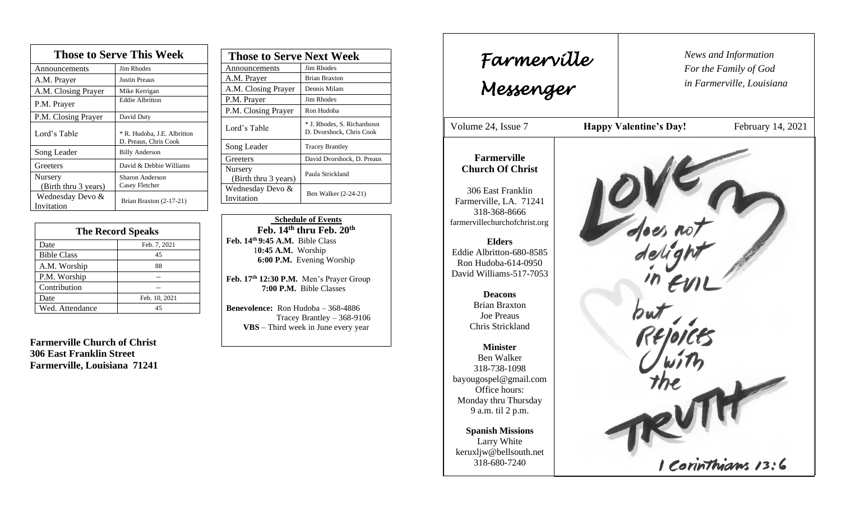| <b>Those to Serve This Week</b> |                                                      |  |
|---------------------------------|------------------------------------------------------|--|
| Announcements                   | <b>Jim Rhodes</b>                                    |  |
| A.M. Prayer                     | <b>Justin Preaus</b>                                 |  |
| A.M. Closing Prayer             | Mike Kerrigan                                        |  |
| P.M. Prayer                     | <b>Eddie Albritton</b>                               |  |
| P.M. Closing Prayer             | David Duty                                           |  |
| Lord's Table                    | * R. Hudoba, J.E. Albritton<br>D. Preaus, Chris Cook |  |
| Song Leader                     | <b>Billy Anderson</b>                                |  |
| Greeters                        | David & Debbie Williams                              |  |
| Nursery<br>(Birth thru 3 years) | <b>Sharon Anderson</b><br>Casey Fletcher             |  |
| Wednesday Devo &<br>Invitation  | Brian Braxton (2-17-21)                              |  |

| <b>The Record Speaks</b> |               |
|--------------------------|---------------|
| Date                     | Feb. 7, 2021  |
| <b>Bible Class</b>       | 45            |
| A.M. Worship             | 88            |
| P.M. Worship             |               |
| Contribution             |               |
| Date                     | Feb. 10, 2021 |
| Wed. Attendance          | 45            |

**Farmerville Church of Christ 306 East Franklin Street Farmerville, Louisiana 71241**

| <b>Those to Serve Next Week</b> |                                                         |
|---------------------------------|---------------------------------------------------------|
| Announcements                   | Jim Rhodes                                              |
| A.M. Prayer                     | <b>Brian Braxton</b>                                    |
| A.M. Closing Prayer             | Dennis Milam                                            |
| P.M. Prayer                     | Jim Rhodes                                              |
| P.M. Closing Prayer             | Ron Hudoba                                              |
| Lord's Table                    | * J. Rhodes, S. Richardsosn<br>D. Dvorshock, Chris Cook |
| Song Leader                     | <b>Tracey Brantley</b>                                  |
| Greeters                        | David Dvorshock, D. Preaus                              |
| Nursery<br>(Birth thru 3 years) | Paula Strickland                                        |
| Wednesday Devo &<br>Invitation  | Ben Walker (2-24-21)                                    |

 **Schedule of Events Feb. 14th thru Feb. 20th Feb. 14th 9:45 A.M.** Bible Class 1**0:45 A.M.** Worship  **6:00 P.M.** Evening Worship

**Feb. 17 th 12:30 P.M.** Men's Prayer Group **7:00 P.M.** Bible Classes

**Benevolence:** Ron Hudoba – 368-4886 Tracey Brantley – 368-9106 **VBS** – Third week in June every year

*News and Information* **Farmerville**  $\parallel$  News and *For the Family of God in Farmerville, Louisiana Messenger*  Volume 24, Issue 7 **Happy Valentine's Day!** February 14, 2021 , 2015 **Farmerville Church Of Christ** 306 East Franklin Farmerville, LA. 71241 318-368-8666 farmervillechurchofchrist.org **Elders** Eddie Albritton-680-8585 Ron Hudoba-614-0950 David Williams-517-7053 **Deacons**  Brian Braxton Joe Preaus Chris Strickland **Minister** Ben Walker 318-738-1098 bayougospel@gmail.com Office hours: Monday thru Thursday 9 a.m. til 2 p.m. **Spanish Missions** Larry White keruxljw@bellsouth.net 1 Corinthians 13:6 318-680-7240